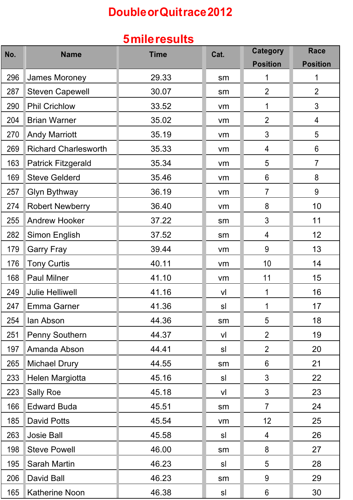# **DoubleorQuitrace2012**

### **5mileresults**

| No. | <b>Name</b>                 | <b>Time</b> | Cat. | <b>Category</b> | <b>Race</b>     |
|-----|-----------------------------|-------------|------|-----------------|-----------------|
|     |                             |             |      | <b>Position</b> | <b>Position</b> |
| 296 | James Moroney               | 29.33       | sm   | 1               | 1               |
| 287 | <b>Steven Capewell</b>      | 30.07       | sm   | $\overline{2}$  | $\overline{2}$  |
| 290 | <b>Phil Crichlow</b>        | 33.52       | vm   | 1               | 3               |
| 204 | <b>Brian Warner</b>         | 35.02       | vm   | $\overline{2}$  | 4               |
| 270 | <b>Andy Marriott</b>        | 35.19       | vm   | 3               | 5               |
| 269 | <b>Richard Charlesworth</b> | 35.33       | vm   | 4               | 6               |
| 163 | <b>Patrick Fitzgerald</b>   | 35.34       | vm   | 5               | $\overline{7}$  |
| 169 | <b>Steve Gelderd</b>        | 35.46       | vm   | 6               | 8               |
| 257 | <b>Glyn Bythway</b>         | 36.19       | vm   | $\overline{7}$  | 9               |
| 274 | <b>Robert Newberry</b>      | 36.40       | vm   | 8               | 10              |
| 255 | <b>Andrew Hooker</b>        | 37.22       | sm   | 3               | 11              |
| 282 | Simon English               | 37.52       | sm   | 4               | 12              |
| 179 | <b>Garry Fray</b>           | 39.44       | vm   | 9               | 13              |
| 176 | <b>Tony Curtis</b>          | 40.11       | vm   | 10              | 14              |
| 168 | <b>Paul Milner</b>          | 41.10       | vm   | 11              | 15              |
| 249 | <b>Julie Helliwell</b>      | 41.16       | vl   | 1               | 16              |
| 247 | <b>Emma Garner</b>          | 41.36       | sl   | 1               | 17              |
| 254 | lan Abson                   | 44.36       | sm   | 5               | 18              |
| 251 | <b>Penny Southern</b>       | 44.37       | vl   | $\overline{2}$  | 19              |
| 197 | Amanda Abson                | 44.41       | sl   | $\overline{2}$  | 20              |
| 265 | <b>Michael Drury</b>        | 44.55       | sm   | $6\phantom{1}6$ | 21              |
| 233 | Helen Margiotta             | 45.16       | sl   | 3               | 22              |
| 223 | <b>Sally Roe</b>            | 45.18       | vl   | 3               | 23              |
| 166 | <b>Edward Buda</b>          | 45.51       | sm   | $\overline{7}$  | 24              |
| 185 | David Potts                 | 45.54       | vm   | 12              | 25              |
| 263 | <b>Josie Ball</b>           | 45.58       | sl   | 4               | 26              |
| 198 | <b>Steve Powell</b>         | 46.00       | sm   | 8               | 27              |
| 195 | Sarah Martin                | 46.23       | sl   | 5               | 28              |
| 206 | David Ball                  | 46.23       | sm   | 9               | 29              |
| 165 | <b>Katherine Noon</b>       | 46.38       | sl   | $6\phantom{1}6$ | 30              |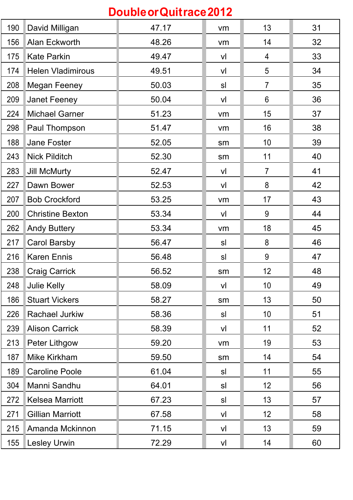| Double or Quitrace 2012 |                          |       |                |                |    |
|-------------------------|--------------------------|-------|----------------|----------------|----|
| 190                     | David Milligan           | 47.17 | vm             | 13             | 31 |
| 156                     | Alan Eckworth            | 48.26 | vm             | 14             | 32 |
| 175                     | <b>Kate Parkin</b>       | 49.47 | vl             | 4              | 33 |
| 174                     | <b>Helen Vladimirous</b> | 49.51 | vl             | 5              | 34 |
| 208                     | <b>Megan Feeney</b>      | 50.03 | sl             | $\overline{7}$ | 35 |
| 209                     | <b>Janet Feeney</b>      | 50.04 | vl             | 6              | 36 |
| 224                     | <b>Michael Garner</b>    | 51.23 | vm             | 15             | 37 |
| 298                     | Paul Thompson            | 51.47 | vm             | 16             | 38 |
| 188                     | <b>Jane Foster</b>       | 52.05 | sm             | 10             | 39 |
| 243                     | <b>Nick Pilditch</b>     | 52.30 | sm             | 11             | 40 |
| 283                     | <b>Jill McMurty</b>      | 52.47 | vl             | $\overline{7}$ | 41 |
| 227                     | Dawn Bower               | 52.53 | vl             | 8              | 42 |
| 207                     | <b>Bob Crockford</b>     | 53.25 | vm             | 17             | 43 |
| 200                     | <b>Christine Bexton</b>  | 53.34 | vl             | 9              | 44 |
| 262                     | <b>Andy Buttery</b>      | 53.34 | vm             | 18             | 45 |
| 217                     | <b>Carol Barsby</b>      | 56.47 | sl             | 8              | 46 |
| 216                     | <b>Karen Ennis</b>       | 56.48 | sl             | 9              | 47 |
| 238                     | <b>Craig Carrick</b>     | 56.52 | sm             | 12             | 48 |
| 248                     | <b>Julie Kelly</b>       | 58.09 | V <sub>l</sub> | 10             | 49 |
| 186                     | <b>Stuart Vickers</b>    | 58.27 | sm             | 13             | 50 |
| 226                     | Rachael Jurkiw           | 58.36 | sl             | 10             | 51 |
| 239                     | <b>Alison Carrick</b>    | 58.39 | vl             | 11             | 52 |
| 213                     | Peter Lithgow            | 59.20 | vm             | 19             | 53 |
| 187                     | Mike Kirkham             | 59.50 | sm             | 14             | 54 |
| 189                     | <b>Caroline Poole</b>    | 61.04 | sl             | 11             | 55 |
| 304                     | Manni Sandhu             | 64.01 | sl             | 12             | 56 |
| 272                     | <b>Kelsea Marriott</b>   | 67.23 | sl             | 13             | 57 |
| 271                     | <b>Gillian Marriott</b>  | 67.58 | vl             | 12             | 58 |
| 215                     | Amanda Mckinnon          | 71.15 | vl             | 13             | 59 |
| 155                     | <b>Lesley Urwin</b>      | 72.29 | vl             | 14             | 60 |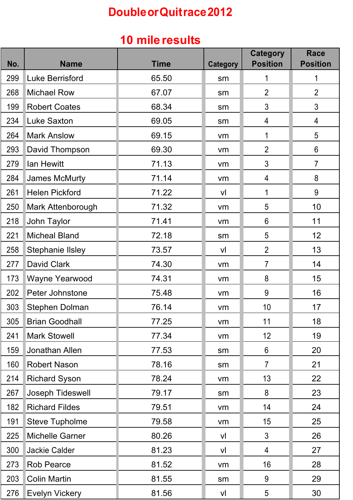# **DoubleorQuitrace2012**

#### **10 mile results**

| No. | <b>Name</b>             | <b>Time</b> | <b>Category</b> | <b>Category</b><br><b>Position</b> | <b>Race</b><br><b>Position</b> |
|-----|-------------------------|-------------|-----------------|------------------------------------|--------------------------------|
| 299 | <b>Luke Berrisford</b>  | 65.50       | sm              | 1                                  | 1                              |
| 268 | <b>Michael Row</b>      | 67.07       | sm              | $\overline{2}$                     | $\overline{2}$                 |
| 199 | <b>Robert Coates</b>    | 68.34       | sm              | 3                                  | $\mathfrak{S}$                 |
| 234 | <b>Luke Saxton</b>      | 69.05       | sm              | 4                                  | 4                              |
| 264 | <b>Mark Anslow</b>      | 69.15       | vm              | 1                                  | 5                              |
| 293 | David Thompson          | 69.30       | vm              | $\overline{2}$                     | 6                              |
| 279 | lan Hewitt              | 71.13       | vm              | 3                                  | $\overline{7}$                 |
| 284 | <b>James McMurty</b>    | 71.14       | vm              | 4                                  | 8                              |
| 261 | <b>Helen Pickford</b>   | 71.22       | vl              | 1                                  | 9                              |
| 250 | Mark Attenborough       | 71.32       | vm              | 5                                  | 10                             |
| 218 | John Taylor             | 71.41       | vm              | 6                                  | 11                             |
| 221 | <b>Micheal Bland</b>    | 72.18       | sm              | 5                                  | 12                             |
| 258 | <b>Stephanie IIsley</b> | 73.57       | vl              | $\overline{2}$                     | 13                             |
| 277 | <b>David Clark</b>      | 74.30       | vm              | $\overline{7}$                     | 14                             |
| 173 | Wayne Yearwood          | 74.31       | vm              | 8                                  | 15                             |
| 202 | Peter Johnstone         | 75.48       | vm              | 9                                  | 16                             |
| 303 | <b>Stephen Dolman</b>   | 76.14       | vm              | 10                                 | 17                             |
| 305 | <b>Brian Goodhall</b>   | 77.25       | vm              | 11                                 | 18                             |
| 241 | <b>Mark Stowell</b>     | 77.34       | vm              | 12                                 | 19                             |
| 159 | Jonathan Allen          | 77.53       | sm              | $6\phantom{1}$                     | 20                             |
| 160 | <b>Robert Nason</b>     | 78.16       | sm              | $\overline{7}$                     | 21                             |
| 214 | <b>Richard Syson</b>    | 78.24       | vm              | 13                                 | 22                             |
| 267 | Joseph Tideswell        | 79.17       | sm              | 8                                  | 23                             |
| 182 | <b>Richard Fildes</b>   | 79.51       | vm              | 14                                 | 24                             |
| 191 | <b>Steve Tupholme</b>   | 79.58       | vm              | 15                                 | 25                             |
| 225 | <b>Michelle Garner</b>  | 80.26       | V <sub>l</sub>  | $\mathfrak{S}$                     | 26                             |
| 300 | Jackie Calder           | 81.23       | V <sub>l</sub>  | $\overline{4}$                     | 27                             |
| 273 | <b>Rob Pearce</b>       | 81.52       | vm              | 16                                 | 28                             |
| 203 | <b>Colin Martin</b>     | 81.55       | sm              | 9                                  | 29                             |
| 276 | <b>Evelyn Vickery</b>   | 81.56       | V <sub>l</sub>  | 5                                  | 30                             |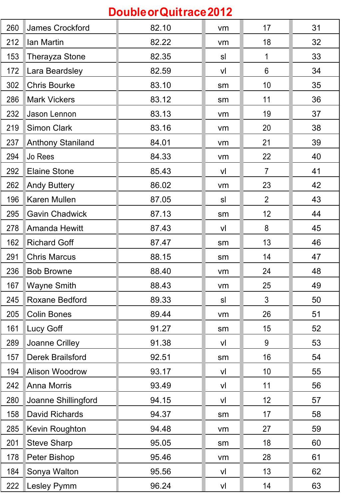| Double or Quitrace 2012 |                          |       |    |                 |    |  |
|-------------------------|--------------------------|-------|----|-----------------|----|--|
| 260                     | James Crockford          | 82.10 | vm | 17              | 31 |  |
| 212                     | Ian Martin               | 82.22 | vm | 18              | 32 |  |
| 153                     | <b>Therayza Stone</b>    | 82.35 | sl | 1               | 33 |  |
| 172                     | Lara Beardsley           | 82.59 | vl | $6\phantom{1}6$ | 34 |  |
| 302                     | <b>Chris Bourke</b>      | 83.10 | sm | 10              | 35 |  |
| 286                     | <b>Mark Vickers</b>      | 83.12 | sm | 11              | 36 |  |
| 232                     | Jason Lennon             | 83.13 | vm | 19              | 37 |  |
| 219                     | <b>Simon Clark</b>       | 83.16 | vm | 20              | 38 |  |
| 237                     | <b>Anthony Staniland</b> | 84.01 | vm | 21              | 39 |  |
| 294                     | Jo Rees                  | 84.33 | vm | 22              | 40 |  |
| 292                     | <b>Elaine Stone</b>      | 85.43 | vl | $\overline{7}$  | 41 |  |
| 262                     | <b>Andy Buttery</b>      | 86.02 | vm | 23              | 42 |  |
| 196                     | Karen Mullen             | 87.05 | sl | $\overline{2}$  | 43 |  |
| 295                     | <b>Gavin Chadwick</b>    | 87.13 | sm | 12              | 44 |  |
| 278                     | <b>Amanda Hewitt</b>     | 87.43 | vl | 8               | 45 |  |
| 162                     | <b>Richard Goff</b>      | 87.47 | sm | 13              | 46 |  |
| 291                     | <b>Chris Marcus</b>      | 88.15 | sm | 14              | 47 |  |
| 236                     | <b>Bob Browne</b>        | 88.40 | vm | 24              | 48 |  |
| 167                     | <b>Wayne Smith</b>       | 88.43 | vm | 25              | 49 |  |
| 245                     | <b>Roxane Bedford</b>    | 89.33 | sl | 3               | 50 |  |
| 205                     | <b>Colin Bones</b>       | 89.44 | vm | 26              | 51 |  |
| 161                     | Lucy Goff                | 91.27 | sm | 15              | 52 |  |
| 289                     | Joanne Crilley           | 91.38 | vl | 9               | 53 |  |
| 157                     | <b>Derek Brailsford</b>  | 92.51 | sm | 16              | 54 |  |
| 194                     | <b>Alison Woodrow</b>    | 93.17 | vl | 10              | 55 |  |
| 242                     | <b>Anna Morris</b>       | 93.49 | vl | 11              | 56 |  |
| 280                     | Joanne Shillingford      | 94.15 | vl | 12              | 57 |  |
| 158                     | <b>David Richards</b>    | 94.37 | sm | 17              | 58 |  |
| 285                     | Kevin Roughton           | 94.48 | vm | 27              | 59 |  |
| 201                     | <b>Steve Sharp</b>       | 95.05 | sm | 18              | 60 |  |
| 178                     | Peter Bishop             | 95.46 | vm | 28              | 61 |  |
| 184                     | Sonya Walton             | 95.56 | vl | 13              | 62 |  |
| 222                     | <b>Lesley Pymm</b>       | 96.24 | vl | 14              | 63 |  |